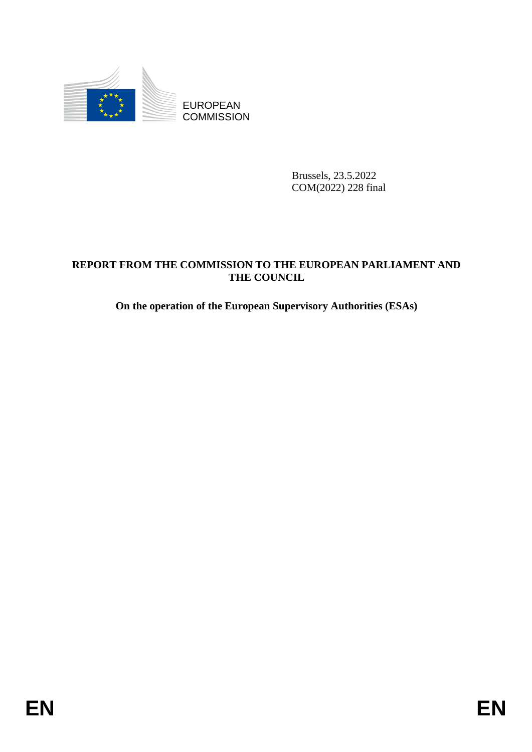

**COMMISSION** 

Brussels, 23.5.2022 COM(2022) 228 final

# ENGINEERS COMMISSION<br>
ENGINEERS COMMISSION<br>
ENGINEERS 23.5 2022<br>
COMMISSION TO THE EUROPEAN PARLIAMENT AND<br>
THE COLNCIL.<br>
On the operation of the European Supervisory Authorities (ESAs)<br>
FRIC COLNCIL.<br> **ENERGY AUTOR CONSUL REPORT FROM THE COMMISSION TO THE EUROPEAN PARLIAMENT AND THE COUNCIL**

**On the operation of the European Supervisory Authorities (ESAs)**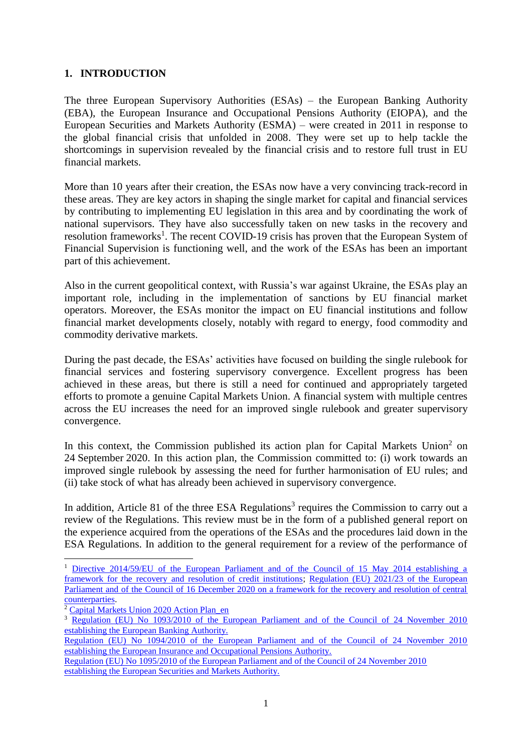## **1. INTRODUCTION**

The three European Supervisory Authorities (ESAs) – the European Banking Authority (EBA), the European Insurance and Occupational Pensions Authority (EIOPA), and the European Securities and Markets Authority (ESMA) – were created in 2011 in response to the global financial crisis that unfolded in 2008. They were set up to help tackle the shortcomings in supervision revealed by the financial crisis and to restore full trust in EU financial markets.

More than 10 years after their creation, the ESAs now have a very convincing track-record in these areas. They are key actors in shaping the single market for capital and financial services by contributing to implementing EU legislation in this area and by coordinating the work of national supervisors. They have also successfully taken on new tasks in the recovery and resolution frameworks<sup>1</sup>. The recent COVID-19 crisis has proven that the European System of Financial Supervision is functioning well, and the work of the ESAs has been an important part of this achievement.

Also in the current geopolitical context, with Russia's war against Ukraine, the ESAs play an important role, including in the implementation of sanctions by EU financial market operators. Moreover, the ESAs monitor the impact on EU financial institutions and follow financial market developments closely, notably with regard to energy, food commodity and commodity derivative markets.

During the past decade, the ESAs' activities have focused on building the single rulebook for financial services and fostering supervisory convergence. Excellent progress has been achieved in these areas, but there is still a need for continued and appropriately targeted efforts to promote a genuine Capital Markets Union. A financial system with multiple centres across the EU increases the need for an improved single rulebook and greater supervisory convergence.

In this context, the Commission published its action plan for Capital Markets Union<sup>2</sup> on 24 September 2020. In this action plan, the Commission committed to: (i) work towards an improved single rulebook by assessing the need for further harmonisation of EU rules; and (ii) take stock of what has already been achieved in supervisory convergence.

In addition, Article 81 of the three ESA Regulations<sup>3</sup> requires the Commission to carry out a review of the Regulations. This review must be in the form of a published general report on the experience acquired from the operations of the ESAs and the procedures laid down in the ESA Regulations. In addition to the general requirement for a review of the performance of

1

<sup>&</sup>lt;sup>1</sup> Directive 2014/59/EU of the European Parliament and of the Council of 15 May 2014 establishing a [framework for the recovery and resolution of credit institutions;](https://eur-lex.europa.eu/legal-content/EN/TXT/?uri=CELEX%3A02014L0059-20210626) [Regulation \(EU\) 2021/23 of the European](https://eur-lex.europa.eu/legal-content/EN/TXT/?uri=CELEX%3A32021R0023)  [Parliament and of the Council of 16 December 2020 on a framework for the recovery and resolution of central](https://eur-lex.europa.eu/legal-content/EN/TXT/?uri=CELEX%3A32021R0023)  [counterparties.](https://eur-lex.europa.eu/legal-content/EN/TXT/?uri=CELEX%3A32021R0023)

<sup>&</sup>lt;sup>2</sup> Capital Markets Union 2020 Action Plan en

<sup>&</sup>lt;sup>3</sup> Regulation (EU) No 1093/2010 of the European Parliament and of the Council of 24 November 2010 [establishing the European Banking Authority.](https://eur-lex.europa.eu/legal-content/EN/TXT/?uri=CELEX%3A02010R1093-20210626)

[Regulation \(EU\) No 1094/2010 of the European Parliament and of the Council of 24 November 2010](https://eur-lex.europa.eu/legal-content/EN/TXT/?uri=CELEX%3A02010R1094-20200101)  [establishing the European Insurance and Occupational Pensions Authority.](https://eur-lex.europa.eu/legal-content/EN/TXT/?uri=CELEX%3A02010R1094-20200101)

[Regulation \(EU\) No 1095/2010 of the European Parliament and of the Council of 24 November 2010](https://eur-lex.europa.eu/legal-content/EN/TXT/?uri=CELEX%3A02010R1095-20200101)  [establishing the European Securities and Markets Authority.](https://eur-lex.europa.eu/legal-content/EN/TXT/?uri=CELEX%3A02010R1095-20200101)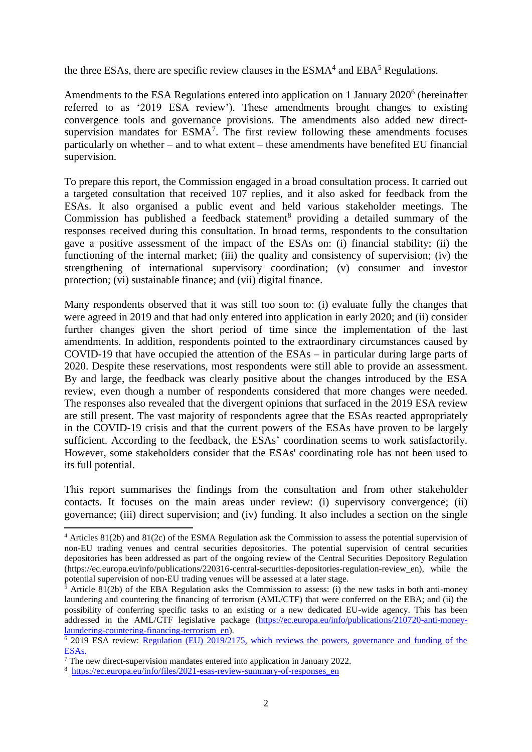the three ESAs, there are specific review clauses in the  $ESMA<sup>4</sup>$  and  $EBA<sup>5</sup>$  Regulations.

Amendments to the ESA Regulations entered into application on 1 January 2020<sup>6</sup> (hereinafter referred to as '2019 ESA review'). These amendments brought changes to existing convergence tools and governance provisions. The amendments also added new directsupervision mandates for  $ESMA<sup>7</sup>$ . The first review following these amendments focuses particularly on whether – and to what extent – these amendments have benefited EU financial supervision.

To prepare this report, the Commission engaged in a broad consultation process. It carried out a targeted consultation that received 107 replies, and it also asked for feedback from the ESAs. It also organised a public event and held various stakeholder meetings. The Commission has published a feedback statement<sup>8</sup> providing a detailed summary of the responses received during this consultation. In broad terms, respondents to the consultation gave a positive assessment of the impact of the ESAs on: (i) financial stability; (ii) the functioning of the internal market; (iii) the quality and consistency of supervision; (iv) the strengthening of international supervisory coordination; (v) consumer and investor protection; (vi) sustainable finance; and (vii) digital finance.

Many respondents observed that it was still too soon to: (i) evaluate fully the changes that were agreed in 2019 and that had only entered into application in early 2020; and (ii) consider further changes given the short period of time since the implementation of the last amendments. In addition, respondents pointed to the extraordinary circumstances caused by COVID-19 that have occupied the attention of the ESAs – in particular during large parts of 2020. Despite these reservations, most respondents were still able to provide an assessment. By and large, the feedback was clearly positive about the changes introduced by the ESA review, even though a number of respondents considered that more changes were needed. The responses also revealed that the divergent opinions that surfaced in the 2019 ESA review are still present. The vast majority of respondents agree that the ESAs reacted appropriately in the COVID-19 crisis and that the current powers of the ESAs have proven to be largely sufficient. According to the feedback, the ESAs' coordination seems to work satisfactorily. However, some stakeholders consider that the ESAs' coordinating role has not been used to its full potential.

This report summarises the findings from the consultation and from other stakeholder contacts. It focuses on the main areas under review: (i) supervisory convergence; (ii) governance; (iii) direct supervision; and (iv) funding. It also includes a section on the single

<sup>4</sup> Articles 81(2b) and 81(2c) of the ESMA Regulation ask the Commission to assess the potential supervision of non-EU trading venues and central securities depositories. The potential supervision of central securities depositories has been addressed as part of the ongoing review of the Central Securities Depository Regulation (https://ec.europa.eu/info/publications/220316-central-securities-depositories-regulation-review\_en), while the potential supervision of non-EU trading venues will be assessed at a later stage.

 $5$  Article 81(2b) of the EBA Regulation asks the Commission to assess: (i) the new tasks in both anti-money laundering and countering the financing of terrorism (AML/CTF) that were conferred on the EBA; and (ii) the possibility of conferring specific tasks to an existing or a new dedicated EU-wide agency. This has been addressed in the AML/CTF legislative package [\(https://ec.europa.eu/info/publications/210720-anti-money](https://ec.europa.eu/info/publications/210720-anti-money-laundering-countering-financing-terrorism_en)[laundering-countering-financing-terrorism\\_en\)](https://ec.europa.eu/info/publications/210720-anti-money-laundering-countering-financing-terrorism_en).

<sup>&</sup>lt;sup>6</sup> 2019 ESA review: Regulation (EU) 2019/2175, which reviews the powers, governance and funding of the [ESAs.](https://eur-lex.europa.eu/legal-content/EN/TXT/?uri=CELEX:32019R2175)

 $\frac{7}{7}$  The new direct-supervision mandates entered into application in January 2022.

<sup>&</sup>lt;sup>8</sup> https://ec.europa.eu/info/files/2021-esas-review-summary-of-responses en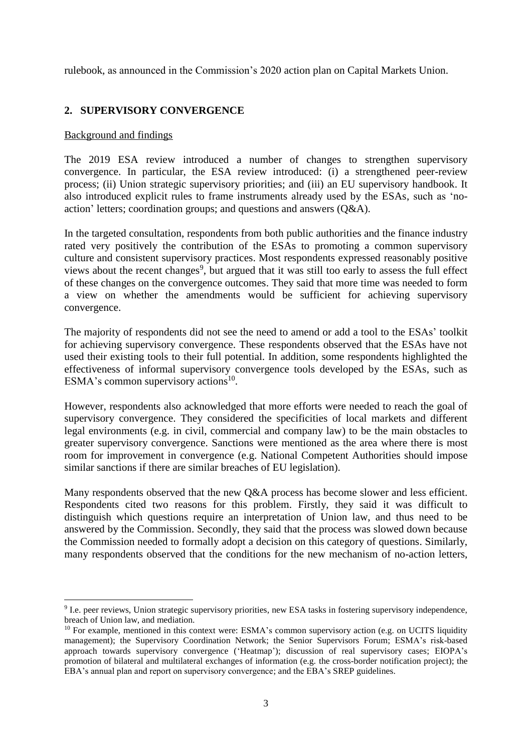rulebook, as announced in the Commission's 2020 action plan on Capital Markets Union.

# **2. SUPERVISORY CONVERGENCE**

## Background and findings

-

The 2019 ESA review introduced a number of changes to strengthen supervisory convergence. In particular, the ESA review introduced: (i) a strengthened peer-review process; (ii) Union strategic supervisory priorities; and (iii) an EU supervisory handbook. It also introduced explicit rules to frame instruments already used by the ESAs, such as 'noaction' letters; coordination groups; and questions and answers (Q&A).

In the targeted consultation, respondents from both public authorities and the finance industry rated very positively the contribution of the ESAs to promoting a common supervisory culture and consistent supervisory practices. Most respondents expressed reasonably positive views about the recent changes<sup>9</sup>, but argued that it was still too early to assess the full effect of these changes on the convergence outcomes. They said that more time was needed to form a view on whether the amendments would be sufficient for achieving supervisory convergence.

The majority of respondents did not see the need to amend or add a tool to the ESAs' toolkit for achieving supervisory convergence. These respondents observed that the ESAs have not used their existing tools to their full potential. In addition, some respondents highlighted the effectiveness of informal supervisory convergence tools developed by the ESAs, such as ESMA's common supervisory actions $^{10}$ .

However, respondents also acknowledged that more efforts were needed to reach the goal of supervisory convergence. They considered the specificities of local markets and different legal environments (e.g. in civil, commercial and company law) to be the main obstacles to greater supervisory convergence. Sanctions were mentioned as the area where there is most room for improvement in convergence (e.g. National Competent Authorities should impose similar sanctions if there are similar breaches of EU legislation).

Many respondents observed that the new Q&A process has become slower and less efficient. Respondents cited two reasons for this problem. Firstly, they said it was difficult to distinguish which questions require an interpretation of Union law, and thus need to be answered by the Commission. Secondly, they said that the process was slowed down because the Commission needed to formally adopt a decision on this category of questions. Similarly, many respondents observed that the conditions for the new mechanism of no-action letters,

<sup>&</sup>lt;sup>9</sup> I.e. peer reviews, Union strategic supervisory priorities, new ESA tasks in fostering supervisory independence, breach of Union law, and mediation.

<sup>&</sup>lt;sup>10</sup> For example, mentioned in this context were: ESMA's common supervisory action (e.g. on UCITS liquidity management); the Supervisory Coordination Network; the Senior Supervisors Forum; ESMA's risk-based approach towards supervisory convergence ('Heatmap'); discussion of real supervisory cases; EIOPA's promotion of bilateral and multilateral exchanges of information (e.g. the cross-border notification project); the EBA's annual plan and report on supervisory convergence; and the EBA's SREP guidelines.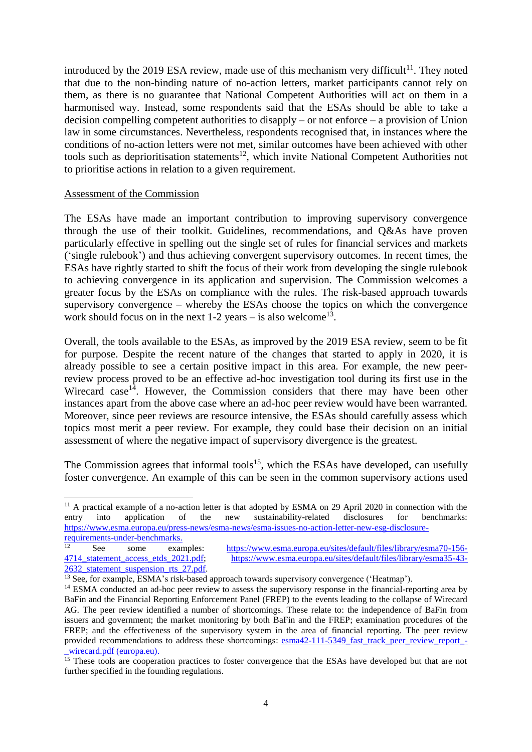introduced by the 2019 ESA review, made use of this mechanism very difficult<sup>11</sup>. They noted that due to the non-binding nature of no-action letters, market participants cannot rely on them, as there is no guarantee that National Competent Authorities will act on them in a harmonised way. Instead, some respondents said that the ESAs should be able to take a decision compelling competent authorities to disapply – or not enforce – a provision of Union law in some circumstances. Nevertheless, respondents recognised that, in instances where the conditions of no-action letters were not met, similar outcomes have been achieved with other tools such as deprioritisation statements<sup>12</sup>, which invite National Competent Authorities not to prioritise actions in relation to a given requirement.

#### Assessment of the Commission

The ESAs have made an important contribution to improving supervisory convergence through the use of their toolkit. Guidelines, recommendations, and Q&As have proven particularly effective in spelling out the single set of rules for financial services and markets ('single rulebook') and thus achieving convergent supervisory outcomes. In recent times, the ESAs have rightly started to shift the focus of their work from developing the single rulebook to achieving convergence in its application and supervision. The Commission welcomes a greater focus by the ESAs on compliance with the rules. The risk-based approach towards supervisory convergence – whereby the ESAs choose the topics on which the convergence work should focus on in the next  $1-2$  years – is also welcome<sup>13</sup>.

Overall, the tools available to the ESAs, as improved by the 2019 ESA review, seem to be fit for purpose. Despite the recent nature of the changes that started to apply in 2020, it is already possible to see a certain positive impact in this area. For example, the new peerreview process proved to be an effective ad-hoc investigation tool during its first use in the Wirecard case<sup>14</sup>. However, the Commission considers that there may have been other instances apart from the above case where an ad-hoc peer review would have been warranted. Moreover, since peer reviews are resource intensive, the ESAs should carefully assess which topics most merit a peer review. For example, they could base their decision on an initial assessment of where the negative impact of supervisory divergence is the greatest.

The Commission agrees that informal tools<sup>15</sup>, which the ESAs have developed, can usefully foster convergence. An example of this can be seen in the common supervisory actions used

1

<sup>&</sup>lt;sup>11</sup> A practical example of a no-action letter is that adopted by ESMA on 29 April 2020 in connection with the entry into application of the new sustainability-related disclosures for benchmarks: [https://www.esma.europa.eu/press-news/esma-news/esma-issues-no-action-letter-new-esg-disclosure](https://www.esma.europa.eu/press-news/esma-news/esma-issues-no-action-letter-new-esg-disclosure-requirements-under-benchmarks)[requirements-under-benchmarks.](https://www.esma.europa.eu/press-news/esma-news/esma-issues-no-action-letter-new-esg-disclosure-requirements-under-benchmarks)

[<sup>2632</sup>\\_statement\\_suspension\\_rts\\_27.pdf.](https://www.esma.europa.eu/sites/default/files/library/esma35-43-2632_statement_suspension_rts_27.pdf)

See some examples: [https://www.esma.europa.eu/sites/default/files/library/esma70-156-](https://www.esma.europa.eu/sites/default/files/library/esma70-156-4714_statement_access_etds_2021.pdf) [4714\\_statement\\_access\\_etds\\_2021.pdf;](https://www.esma.europa.eu/sites/default/files/library/esma70-156-4714_statement_access_etds_2021.pdf) [https://www.esma.europa.eu/sites/default/files/library/esma35-43-](https://www.esma.europa.eu/sites/default/files/library/esma35-43-2632_statement_suspension_rts_27.pdf)

<sup>&</sup>lt;sup>13</sup> See, for example, ESMA's risk-based approach towards supervisory convergence ('Heatmap').

<sup>&</sup>lt;sup>14</sup> ESMA conducted an ad-hoc peer review to assess the supervisory response in the financial-reporting area by BaFin and the Financial Reporting Enforcement Panel (FREP) to the events leading to the collapse of Wirecard AG. The peer review identified a number of shortcomings. These relate to: the independence of BaFin from issuers and government; the market monitoring by both BaFin and the FREP; examination procedures of the FREP; and the effectiveness of the supervisory system in the area of financial reporting. The peer review provided recommendations to address these shortcomings: esma42-111-5349 fast track peer review report -[\\_wirecard.pdf \(europa.eu\).](https://www.esma.europa.eu/sites/default/files/library/esma42-111-5349_fast_track_peer_review_report_-_wirecard.pdf)

<sup>&</sup>lt;sup>15</sup> These tools are cooperation practices to foster convergence that the ESAs have developed but that are not further specified in the founding regulations.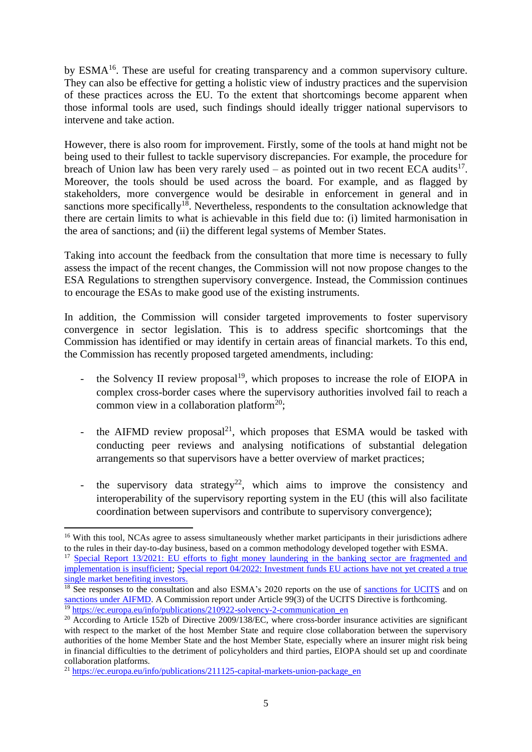by ESMA<sup>16</sup>. These are useful for creating transparency and a common supervisory culture. They can also be effective for getting a holistic view of industry practices and the supervision of these practices across the EU. To the extent that shortcomings become apparent when those informal tools are used, such findings should ideally trigger national supervisors to intervene and take action.

However, there is also room for improvement. Firstly, some of the tools at hand might not be being used to their fullest to tackle supervisory discrepancies. For example, the procedure for breach of Union law has been very rarely used  $-$  as pointed out in two recent ECA audits<sup>17</sup>. Moreover, the tools should be used across the board. For example, and as flagged by stakeholders, more convergence would be desirable in enforcement in general and in sanctions more specifically<sup>18</sup>. Nevertheless, respondents to the consultation acknowledge that there are certain limits to what is achievable in this field due to: (i) limited harmonisation in the area of sanctions; and (ii) the different legal systems of Member States.

Taking into account the feedback from the consultation that more time is necessary to fully assess the impact of the recent changes, the Commission will not now propose changes to the ESA Regulations to strengthen supervisory convergence. Instead, the Commission continues to encourage the ESAs to make good use of the existing instruments.

In addition, the Commission will consider targeted improvements to foster supervisory convergence in sector legislation. This is to address specific shortcomings that the Commission has identified or may identify in certain areas of financial markets. To this end, the Commission has recently proposed targeted amendments, including:

- the Solvency II review proposal $19$ , which proposes to increase the role of EIOPA in complex cross-border cases where the supervisory authorities involved fail to reach a common view in a collaboration platform<sup>20</sup>;
- the AIFMD review proposal<sup>21</sup>, which proposes that ESMA would be tasked with conducting peer reviews and analysing notifications of substantial delegation arrangements so that supervisors have a better overview of market practices;
- the supervisory data strategy<sup>22</sup>, which aims to improve the consistency and interoperability of the supervisory reporting system in the EU (this will also facilitate coordination between supervisors and contribute to supervisory convergence);

<sup>&</sup>lt;sup>16</sup> With this tool, NCAs agree to assess simultaneously whether market participants in their jurisdictions adhere to the rules in their day-to-day business, based on a common methodology developed together with ESMA.

<sup>&</sup>lt;sup>17</sup> Special Report 13/2021: EU efforts to fight money laundering in the banking sector are fragmented and [implementation is insufficient;](https://www.eca.europa.eu/Lists/ECADocuments/SR21_13/SR_AML_EN.pdf) [Special report 04/2022: Investment funds EU actions have not yet created a true](https://www.eca.europa.eu/Lists/ECADocuments/SR22_04/SR_SM-for-Invest-Funds_EN.pdf)  [single market benefiting investors.](https://www.eca.europa.eu/Lists/ECADocuments/SR22_04/SR_SM-for-Invest-Funds_EN.pdf)

<sup>&</sup>lt;sup>18</sup> See responses to the consultation and also ESMA's 2020 reports on the use of [sanctions for UCITS](https://www.esma.europa.eu/sites/default/files/library/esma34-45-1269_2020_ucits_sanctions_report.pdf) and on [sanctions under AIFMD.](https://www.esma.europa.eu/sites/default/files/library/esma34-32-865_2020_aifmd_sanctions_report.pdf) A Commission report under Article 99(3) of the UCITS Directive is forthcoming. <sup>19</sup> [https://ec.europa.eu/info/publications/210922-solvency-2-communication\\_en](https://ec.europa.eu/info/publications/210922-solvency-2-communication_en)

<sup>&</sup>lt;sup>20</sup> According to Article 152b of Directive 2009/138/EC, where cross-border insurance activities are significant with respect to the market of the host Member State and require close collaboration between the supervisory authorities of the home Member State and the host Member State, especially where an insurer might risk being in financial difficulties to the detriment of policyholders and third parties, EIOPA should set up and coordinate collaboration platforms.

<sup>&</sup>lt;sup>21</sup> [https://ec.europa.eu/info/publications/211125-capital-markets-union-package\\_en](https://ec.europa.eu/info/publications/211125-capital-markets-union-package_en)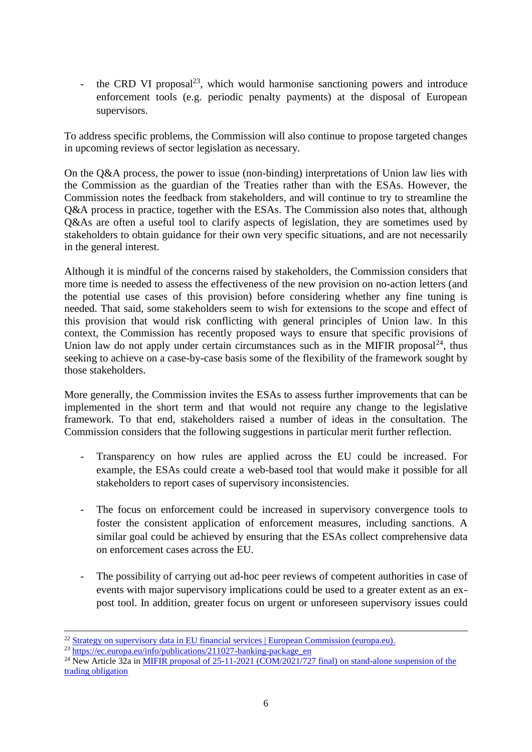- the CRD VI proposal<sup>23</sup>, which would harmonise sanctioning powers and introduce enforcement tools (e.g. periodic penalty payments) at the disposal of European supervisors.

To address specific problems, the Commission will also continue to propose targeted changes in upcoming reviews of sector legislation as necessary.

On the Q&A process, the power to issue (non-binding) interpretations of Union law lies with the Commission as the guardian of the Treaties rather than with the ESAs. However, the Commission notes the feedback from stakeholders, and will continue to try to streamline the Q&A process in practice, together with the ESAs. The Commission also notes that, although Q&As are often a useful tool to clarify aspects of legislation, they are sometimes used by stakeholders to obtain guidance for their own very specific situations, and are not necessarily in the general interest.

Although it is mindful of the concerns raised by stakeholders, the Commission considers that more time is needed to assess the effectiveness of the new provision on no-action letters (and the potential use cases of this provision) before considering whether any fine tuning is needed. That said, some stakeholders seem to wish for extensions to the scope and effect of this provision that would risk conflicting with general principles of Union law. In this context, the Commission has recently proposed ways to ensure that specific provisions of Union law do not apply under certain circumstances such as in the MIFIR proposal $^{24}$ , thus seeking to achieve on a case-by-case basis some of the flexibility of the framework sought by those stakeholders.

More generally, the Commission invites the ESAs to assess further improvements that can be implemented in the short term and that would not require any change to the legislative framework. To that end, stakeholders raised a number of ideas in the consultation. The Commission considers that the following suggestions in particular merit further reflection.

- Transparency on how rules are applied across the EU could be increased. For example, the ESAs could create a web-based tool that would make it possible for all stakeholders to report cases of supervisory inconsistencies.
- The focus on enforcement could be increased in supervisory convergence tools to foster the consistent application of enforcement measures, including sanctions. A similar goal could be achieved by ensuring that the ESAs collect comprehensive data on enforcement cases across the EU.
- The possibility of carrying out ad-hoc peer reviews of competent authorities in case of events with major supervisory implications could be used to a greater extent as an expost tool. In addition, greater focus on urgent or unforeseen supervisory issues could

<sup>&</sup>lt;sup>22</sup> Strategy on supervisory [data in EU financial services | European Commission \(europa.eu\).](https://ec.europa.eu/info/publications/211215-supervisory-data-strategy_en#:~:text=The%20objective%20of%20the%20strategy%20is%20to%20modernise,the%20aggregate%20reporting%20burden%20for%20all%20relevant%20parties.)

 $^{23}$  [https://ec.europa.eu/info/publications/211027-banking-package\\_en](https://ec.europa.eu/info/publications/211027-banking-package_en)

<sup>&</sup>lt;sup>24</sup> New Article 32a in [MIFIR proposal of 25-11-2021 \(COM/2021/727 final\)](https://eur-lex.europa.eu/legal-content/EN/TXT/?uri=CELEX:52021PC0727) on stand-alone suspension of the trading obligation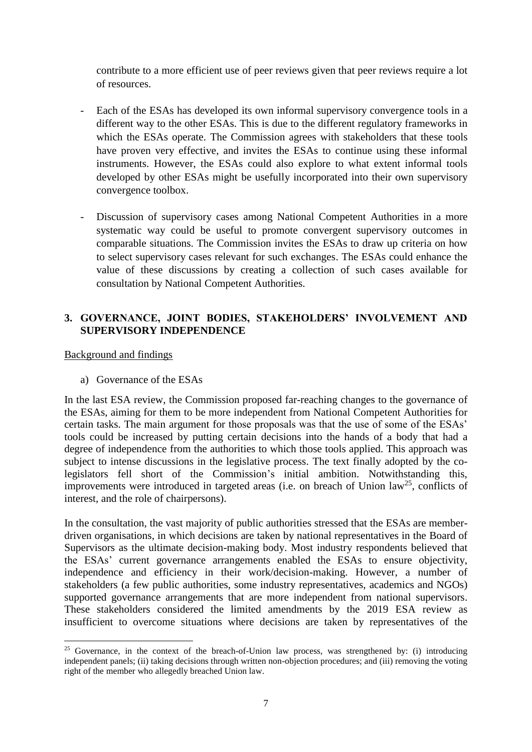contribute to a more efficient use of peer reviews given that peer reviews require a lot of resources.

- Each of the ESAs has developed its own informal supervisory convergence tools in a different way to the other ESAs. This is due to the different regulatory frameworks in which the ESAs operate. The Commission agrees with stakeholders that these tools have proven very effective, and invites the ESAs to continue using these informal instruments. However, the ESAs could also explore to what extent informal tools developed by other ESAs might be usefully incorporated into their own supervisory convergence toolbox.
- Discussion of supervisory cases among National Competent Authorities in a more systematic way could be useful to promote convergent supervisory outcomes in comparable situations. The Commission invites the ESAs to draw up criteria on how to select supervisory cases relevant for such exchanges. The ESAs could enhance the value of these discussions by creating a collection of such cases available for consultation by National Competent Authorities.

# **3. GOVERNANCE, JOINT BODIES, STAKEHOLDERS' INVOLVEMENT AND SUPERVISORY INDEPENDENCE**

## Background and findings

-

a) Governance of the ESAs

In the last ESA review, the Commission proposed far-reaching changes to the governance of the ESAs, aiming for them to be more independent from National Competent Authorities for certain tasks. The main argument for those proposals was that the use of some of the ESAs' tools could be increased by putting certain decisions into the hands of a body that had a degree of independence from the authorities to which those tools applied. This approach was subject to intense discussions in the legislative process. The text finally adopted by the colegislators fell short of the Commission's initial ambition. Notwithstanding this, improvements were introduced in targeted areas (i.e. on breach of Union  $law^{25}$ , conflicts of interest, and the role of chairpersons).

In the consultation, the vast majority of public authorities stressed that the ESAs are memberdriven organisations, in which decisions are taken by national representatives in the Board of Supervisors as the ultimate decision-making body. Most industry respondents believed that the ESAs' current governance arrangements enabled the ESAs to ensure objectivity, independence and efficiency in their work/decision-making. However, a number of stakeholders (a few public authorities, some industry representatives, academics and NGOs) supported governance arrangements that are more independent from national supervisors. These stakeholders considered the limited amendments by the 2019 ESA review as insufficient to overcome situations where decisions are taken by representatives of the

<sup>&</sup>lt;sup>25</sup> Governance, in the context of the breach-of-Union law process, was strengthened by: (i) introducing independent panels; (ii) taking decisions through written non-objection procedures; and (iii) removing the voting right of the member who allegedly breached Union law.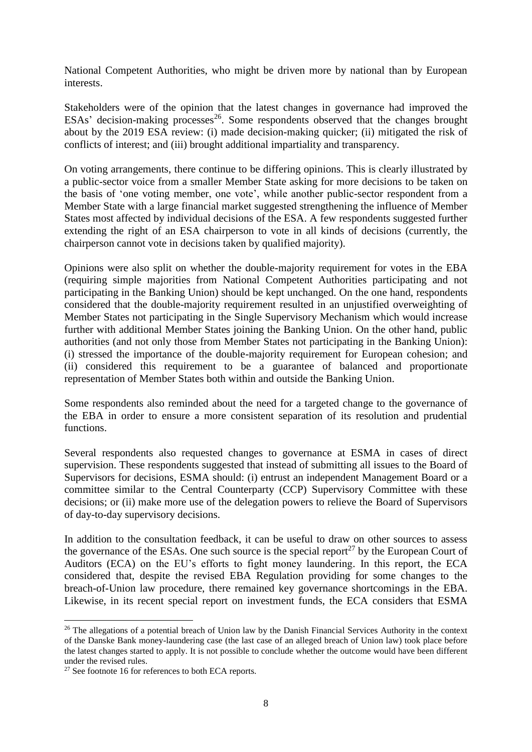National Competent Authorities, who might be driven more by national than by European interests.

Stakeholders were of the opinion that the latest changes in governance had improved the ESAs' decision-making processes<sup>26</sup>. Some respondents observed that the changes brought about by the 2019 ESA review: (i) made decision-making quicker; (ii) mitigated the risk of conflicts of interest; and (iii) brought additional impartiality and transparency.

On voting arrangements, there continue to be differing opinions. This is clearly illustrated by a public-sector voice from a smaller Member State asking for more decisions to be taken on the basis of 'one voting member, one vote', while another public-sector respondent from a Member State with a large financial market suggested strengthening the influence of Member States most affected by individual decisions of the ESA. A few respondents suggested further extending the right of an ESA chairperson to vote in all kinds of decisions (currently, the chairperson cannot vote in decisions taken by qualified majority).

Opinions were also split on whether the double-majority requirement for votes in the EBA (requiring simple majorities from National Competent Authorities participating and not participating in the Banking Union) should be kept unchanged. On the one hand, respondents considered that the double-majority requirement resulted in an unjustified overweighting of Member States not participating in the Single Supervisory Mechanism which would increase further with additional Member States joining the Banking Union. On the other hand, public authorities (and not only those from Member States not participating in the Banking Union): (i) stressed the importance of the double-majority requirement for European cohesion; and (ii) considered this requirement to be a guarantee of balanced and proportionate representation of Member States both within and outside the Banking Union.

Some respondents also reminded about the need for a targeted change to the governance of the EBA in order to ensure a more consistent separation of its resolution and prudential functions.

Several respondents also requested changes to governance at ESMA in cases of direct supervision. These respondents suggested that instead of submitting all issues to the Board of Supervisors for decisions, ESMA should: (i) entrust an independent Management Board or a committee similar to the Central Counterparty (CCP) Supervisory Committee with these decisions; or (ii) make more use of the delegation powers to relieve the Board of Supervisors of day-to-day supervisory decisions.

In addition to the consultation feedback, it can be useful to draw on other sources to assess the governance of the ESAs. One such source is the special report<sup>27</sup> by the European Court of Auditors (ECA) on the EU's efforts to fight money laundering. In this report, the ECA considered that, despite the revised EBA Regulation providing for some changes to the breach-of-Union law procedure, there remained key governance shortcomings in the EBA. Likewise, in its recent special report on investment funds, the ECA considers that ESMA

1

<sup>&</sup>lt;sup>26</sup> The allegations of a potential breach of Union law by the Danish Financial Services Authority in the context of the Danske Bank money-laundering case (the last case of an alleged breach of Union law) took place before the latest changes started to apply. It is not possible to conclude whether the outcome would have been different under the revised rules.

<sup>27</sup> See footnote 16 for references to both ECA reports.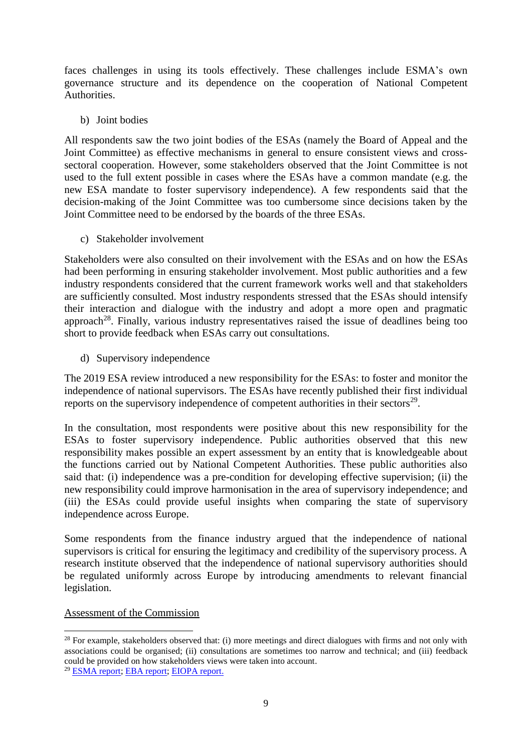faces challenges in using its tools effectively. These challenges include ESMA's own governance structure and its dependence on the cooperation of National Competent **Authorities** 

b) Joint bodies

All respondents saw the two joint bodies of the ESAs (namely the Board of Appeal and the Joint Committee) as effective mechanisms in general to ensure consistent views and crosssectoral cooperation. However, some stakeholders observed that the Joint Committee is not used to the full extent possible in cases where the ESAs have a common mandate (e.g. the new ESA mandate to foster supervisory independence). A few respondents said that the decision-making of the Joint Committee was too cumbersome since decisions taken by the Joint Committee need to be endorsed by the boards of the three ESAs.

c) Stakeholder involvement

Stakeholders were also consulted on their involvement with the ESAs and on how the ESAs had been performing in ensuring stakeholder involvement. Most public authorities and a few industry respondents considered that the current framework works well and that stakeholders are sufficiently consulted. Most industry respondents stressed that the ESAs should intensify their interaction and dialogue with the industry and adopt a more open and pragmatic approach<sup>28</sup>. Finally, various industry representatives raised the issue of deadlines being too short to provide feedback when ESAs carry out consultations.

d) Supervisory independence

The 2019 ESA review introduced a new responsibility for the ESAs: to foster and monitor the independence of national supervisors. The ESAs have recently published their first individual reports on the supervisory independence of competent authorities in their sectors $^{29}$ .

In the consultation, most respondents were positive about this new responsibility for the ESAs to foster supervisory independence. Public authorities observed that this new responsibility makes possible an expert assessment by an entity that is knowledgeable about the functions carried out by National Competent Authorities. These public authorities also said that: (i) independence was a pre-condition for developing effective supervision; (ii) the new responsibility could improve harmonisation in the area of supervisory independence; and (iii) the ESAs could provide useful insights when comparing the state of supervisory independence across Europe.

Some respondents from the finance industry argued that the independence of national supervisors is critical for ensuring the legitimacy and credibility of the supervisory process. A research institute observed that the independence of national supervisory authorities should be regulated uniformly across Europe by introducing amendments to relevant financial legislation.

# Assessment of the Commission

<sup>-</sup> $^{28}$  For example, stakeholders observed that: (i) more meetings and direct dialogues with firms and not only with associations could be organised; (ii) consultations are sometimes too narrow and technical; and (iii) feedback could be provided on how stakeholders views were taken into account.

<sup>29</sup> [ESMA report;](https://www.esma.europa.eu/sites/default/files/library/esma42-110-3265_report_on_ncas_independence.pdf) [EBA report;](https://www.eba.europa.eu/sites/default/documents/files/document_library/Publications/Reports/2021/1022092/EBA%20report%20on%20supervisory%20independence%20of%20competent%20authorities.pdf) [EIOPA report.](https://www.eiopa.europa.eu/sites/default/files/publications/reports/eiopa-bos-21-278-report-independence.pdf)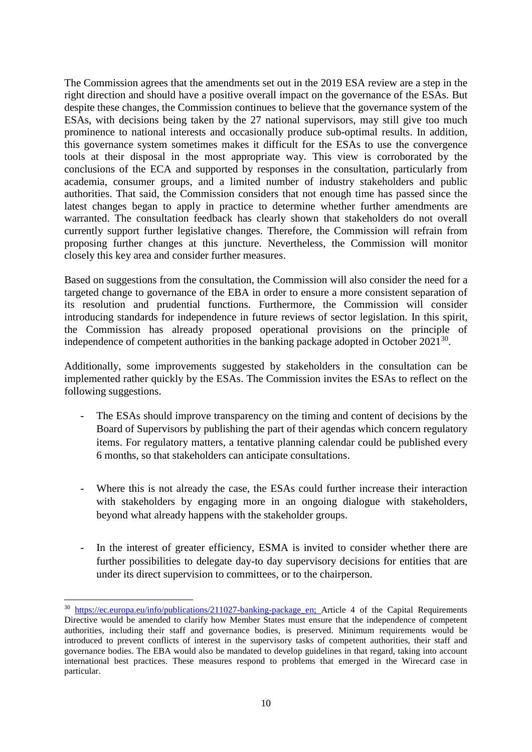The Commission agrees that the amendments set out in the 2019 ESA review are a step in the right direction and should have a positive overall impact on the governance of the ESAs. But despite these changes, the Commission continues to believe that the governance system of the ESAs, with decisions being taken by the 27 national supervisors, may still give too much prominence to national interests and occasionally produce sub-optimal results. In addition, this governance system sometimes makes it difficult for the ESAs to use the convergence tools at their disposal in the most appropriate way. This view is corroborated by the conclusions of the ECA and supported by responses in the consultation, particularly from academia, consumer groups, and a limited number of industry stakeholders and public authorities. That said, the Commission considers that not enough time has passed since the latest changes began to apply in practice to determine whether further amendments are warranted. The consultation feedback has clearly shown that stakeholders do not overall currently support further legislative changes. Therefore, the Commission will refrain from proposing further changes at this juncture. Nevertheless, the Commission will monitor closely this key area and consider further measures.

Based on suggestions from the consultation, the Commission will also consider the need for a targeted change to governance of the EBA in order to ensure a more consistent separation of its resolution and prudential functions. Furthermore, the Commission will consider introducing standards for independence in future reviews of sector legislation. In this spirit, the Commission has already proposed operational provisions on the principle of independence of competent authorities in the banking package adopted in October  $2021^{30}$ .

Additionally, some improvements suggested by stakeholders in the consultation can be implemented rather quickly by the ESAs. The Commission invites the ESAs to reflect on the following suggestions.

- The ESAs should improve transparency on the timing and content of decisions by the Board of Supervisors by publishing the part of their agendas which concern regulatory items. For regulatory matters, a tentative planning calendar could be published every 6 months, so that stakeholders can anticipate consultations.
- Where this is not already the case, the ESAs could further increase their interaction with stakeholders by engaging more in an ongoing dialogue with stakeholders, beyond what already happens with the stakeholder groups.
- In the interest of greater efficiency, ESMA is invited to consider whether there are further possibilities to delegate day-to day supervisory decisions for entities that are under its direct supervision to committees, or to the chairperson.

<sup>&</sup>lt;sup>30</sup> [https://ec.europa.eu/info/publications/211027-banking-package\\_en;](https://ec.europa.eu/info/publications/211027-banking-package_en) Article 4 of the Capital Requirements Directive would be amended to clarify how Member States must ensure that the independence of competent authorities, including their staff and governance bodies, is preserved. Minimum requirements would be introduced to prevent conflicts of interest in the supervisory tasks of competent authorities, their staff and governance bodies. The EBA would also be mandated to develop guidelines in that regard, taking into account international best practices. These measures respond to problems that emerged in the Wirecard case in particular.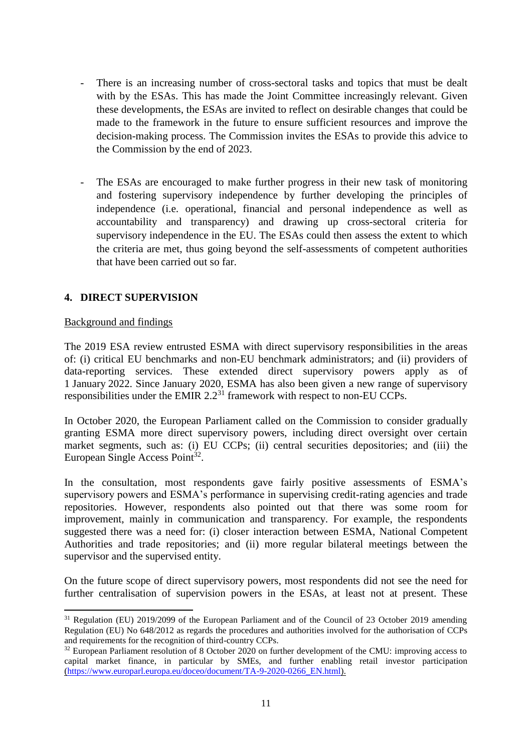- There is an increasing number of cross-sectoral tasks and topics that must be dealt with by the ESAs. This has made the Joint Committee increasingly relevant. Given these developments, the ESAs are invited to reflect on desirable changes that could be made to the framework in the future to ensure sufficient resources and improve the decision-making process. The Commission invites the ESAs to provide this advice to the Commission by the end of 2023.
- The ESAs are encouraged to make further progress in their new task of monitoring and fostering supervisory independence by further developing the principles of independence (i.e. operational, financial and personal independence as well as accountability and transparency) and drawing up cross-sectoral criteria for supervisory independence in the EU. The ESAs could then assess the extent to which the criteria are met, thus going beyond the self-assessments of competent authorities that have been carried out so far.

# **4. DIRECT SUPERVISION**

## Background and findings

1

The 2019 ESA review entrusted ESMA with direct supervisory responsibilities in the areas of: (i) critical EU benchmarks and non-EU benchmark administrators; and (ii) providers of data-reporting services. These extended direct supervisory powers apply as of 1 January 2022. Since January 2020, ESMA has also been given a new range of supervisory responsibilities under the EMIR  $2.2<sup>31</sup>$  framework with respect to non-EU CCPs.

In October 2020, the European Parliament called on the Commission to consider gradually granting ESMA more direct supervisory powers, including direct oversight over certain market segments, such as: (i) EU CCPs; (ii) central securities depositories; and (iii) the European Single Access Point<sup>32</sup>.

In the consultation, most respondents gave fairly positive assessments of ESMA's supervisory powers and ESMA's performance in supervising credit-rating agencies and trade repositories. However, respondents also pointed out that there was some room for improvement, mainly in communication and transparency. For example, the respondents suggested there was a need for: (i) closer interaction between ESMA, National Competent Authorities and trade repositories; and (ii) more regular bilateral meetings between the supervisor and the supervised entity.

On the future scope of direct supervisory powers, most respondents did not see the need for further centralisation of supervision powers in the ESAs, at least not at present. These

<sup>&</sup>lt;sup>31</sup> Regulation (EU) 2019/2099 of the European Parliament and of the Council of 23 October 2019 amending Regulation (EU) No 648/2012 as regards the procedures and authorities involved for the authorisation of CCPs and requirements for the recognition of third-country CCPs.

<sup>&</sup>lt;sup>32</sup> European Parliament resolution of 8 October 2020 on further development of the CMU: improving access to capital market finance, in particular by SMEs, and further enabling retail investor participation [\(https://www.europarl.europa.eu/doceo/document/TA-9-2020-0266\\_EN.html\)](https://www.europarl.europa.eu/doceo/document/TA-9-2020-0266_EN.html).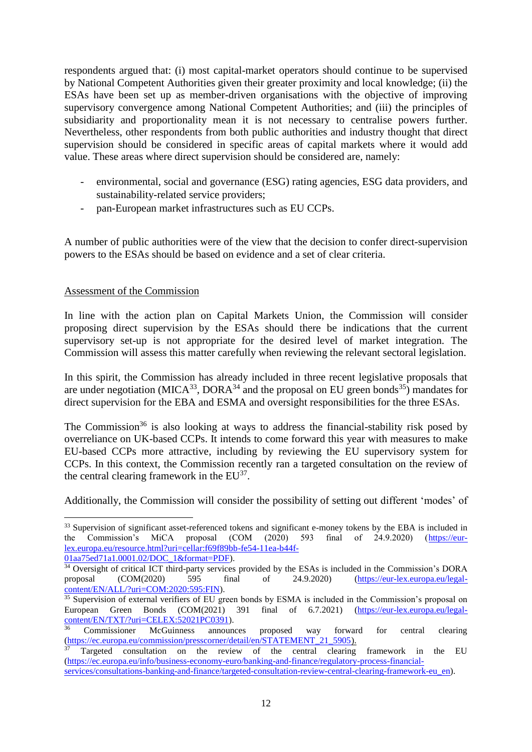respondents argued that: (i) most capital-market operators should continue to be supervised by National Competent Authorities given their greater proximity and local knowledge; (ii) the ESAs have been set up as member-driven organisations with the objective of improving supervisory convergence among National Competent Authorities; and (iii) the principles of subsidiarity and proportionality mean it is not necessary to centralise powers further. Nevertheless, other respondents from both public authorities and industry thought that direct supervision should be considered in specific areas of capital markets where it would add value. These areas where direct supervision should be considered are, namely:

- environmental, social and governance (ESG) rating agencies, ESG data providers, and sustainability-related service providers;
- pan-European market infrastructures such as EU CCPs.

A number of public authorities were of the view that the decision to confer direct-supervision powers to the ESAs should be based on evidence and a set of clear criteria.

## Assessment of the Commission

-

In line with the action plan on Capital Markets Union, the Commission will consider proposing direct supervision by the ESAs should there be indications that the current supervisory set-up is not appropriate for the desired level of market integration. The Commission will assess this matter carefully when reviewing the relevant sectoral legislation.

In this spirit, the Commission has already included in three recent legislative proposals that are under negotiation (MICA<sup>33</sup>, DORA<sup>34</sup> and the proposal on EU green bonds<sup>35</sup>) mandates for direct supervision for the EBA and ESMA and oversight responsibilities for the three ESAs.

The Commission<sup>36</sup> is also looking at ways to address the financial-stability risk posed by overreliance on UK-based CCPs. It intends to come forward this year with measures to make EU-based CCPs more attractive, including by reviewing the EU supervisory system for CCPs. In this context, the Commission recently ran a targeted consultation on the review of the central clearing framework in the  $EU^{37}$ .

Additionally, the Commission will consider the possibility of setting out different 'modes' of

<sup>&</sup>lt;sup>33</sup> Supervision of significant asset-referenced tokens and significant e-money tokens by the EBA is included in the Commission's MiCA proposal (COM (2020) 593 final of 24.9.2020) [\(https://eur](https://eur-lex.europa.eu/resource.html?uri=cellar:f69f89bb-fe54-11ea-b44f-01aa75ed71a1.0001.02/DOC_1&format=PDF)[lex.europa.eu/resource.html?uri=cellar:f69f89bb-fe54-11ea-b44f-](https://eur-lex.europa.eu/resource.html?uri=cellar:f69f89bb-fe54-11ea-b44f-01aa75ed71a1.0001.02/DOC_1&format=PDF)[01aa75ed71a1.0001.02/DOC\\_1&format=PDF\)](https://eur-lex.europa.eu/resource.html?uri=cellar:f69f89bb-fe54-11ea-b44f-01aa75ed71a1.0001.02/DOC_1&format=PDF).

<sup>&</sup>lt;sup>34</sup> Oversight of critical ICT third-party services provided by the ESAs is included in the Commission's DORA proposal (COM(2020) 595 final of 24.9.2020) [\(https://eur-lex.europa.eu/legal](https://eur-lex.europa.eu/legal-content/EN/ALL/?uri=COM:2020:595:FIN)[content/EN/ALL/?uri=COM:2020:595:FIN\)](https://eur-lex.europa.eu/legal-content/EN/ALL/?uri=COM:2020:595:FIN).

<sup>&</sup>lt;sup>35</sup> Supervision of external verifiers of EU green bonds by ESMA is included in the Commission's proposal on European Green Bonds (COM(2021) 391 final of 6.7.2021) [\(https://eur-lex.europa.eu/legal](https://eur-lex.europa.eu/legal-content/EN/TXT/?uri=CELEX:52021PC0391)[content/EN/TXT/?uri=CELEX:52021PC0391\)](https://eur-lex.europa.eu/legal-content/EN/TXT/?uri=CELEX:52021PC0391).<br>36 Commissioner McGuinness announ

<sup>36</sup> Commissioner McGuinness announces proposed way forward for central clearing (https://ec.europa.eu/commission/presscorner/detail/en/STATEMENT\_21\_5905).

<sup>&</sup>lt;sup>37</sup> [Targeted consultation on the review of the central clearing framework in the EU](https://ec.europa.eu/info/business-economy-euro/banking-and-finance/regulatory-process-financial-services/consultations-banking-and-finance/targeted-consultation-review-central-clearing-framework-eu_en) [\(https://ec.europa.eu/info/business-economy-euro/banking-and-finance/regulatory-process-financial-](https://ec.europa.eu/info/business-economy-euro/banking-and-finance/regulatory-process-financial-services/consultations-banking-and-finance/targeted-consultation-review-central-clearing-framework-eu_en)

[services/consultations-banking-and-finance/targeted-consultation-review-central-clearing-framework-eu\\_en\)](https://ec.europa.eu/info/business-economy-euro/banking-and-finance/regulatory-process-financial-services/consultations-banking-and-finance/targeted-consultation-review-central-clearing-framework-eu_en).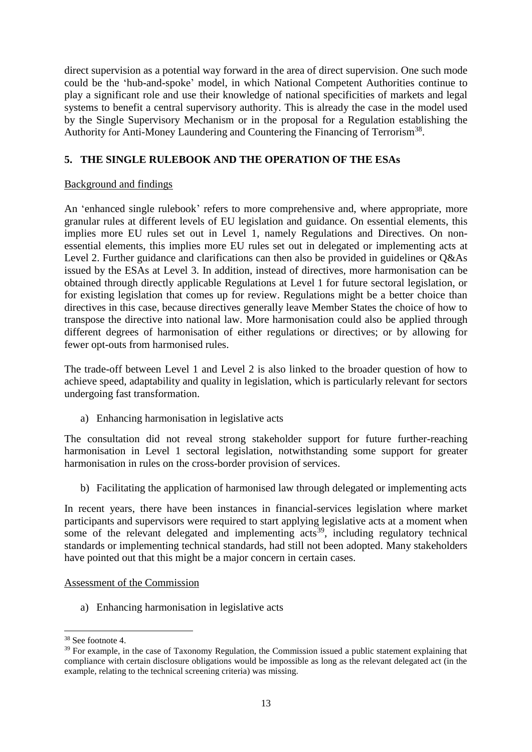direct supervision as a potential way forward in the area of direct supervision. One such mode could be the 'hub-and-spoke' model, in which National Competent Authorities continue to play a significant role and use their knowledge of national specificities of markets and legal systems to benefit a central supervisory authority. This is already the case in the model used by the Single Supervisory Mechanism or in the proposal for a Regulation establishing the Authority for Anti-Money Laundering and Countering the Financing of Terrorism<sup>38</sup>.

# **5. THE SINGLE RULEBOOK AND THE OPERATION OF THE ESAs**

## Background and findings

An 'enhanced single rulebook' refers to more comprehensive and, where appropriate, more granular rules at different levels of EU legislation and guidance. On essential elements, this implies more EU rules set out in Level 1, namely Regulations and Directives. On nonessential elements, this implies more EU rules set out in delegated or implementing acts at Level 2. Further guidance and clarifications can then also be provided in guidelines or Q&As issued by the ESAs at Level 3. In addition, instead of directives, more harmonisation can be obtained through directly applicable Regulations at Level 1 for future sectoral legislation, or for existing legislation that comes up for review. Regulations might be a better choice than directives in this case, because directives generally leave Member States the choice of how to transpose the directive into national law. More harmonisation could also be applied through different degrees of harmonisation of either regulations or directives; or by allowing for fewer opt-outs from harmonised rules.

The trade-off between Level 1 and Level 2 is also linked to the broader question of how to achieve speed, adaptability and quality in legislation, which is particularly relevant for sectors undergoing fast transformation.

a) Enhancing harmonisation in legislative acts

The consultation did not reveal strong stakeholder support for future further-reaching harmonisation in Level 1 sectoral legislation, notwithstanding some support for greater harmonisation in rules on the cross-border provision of services.

b) Facilitating the application of harmonised law through delegated or implementing acts

In recent years, there have been instances in financial-services legislation where market participants and supervisors were required to start applying legislative acts at a moment when some of the relevant delegated and implementing  $\arccos^{39}$ , including regulatory technical standards or implementing technical standards, had still not been adopted. Many stakeholders have pointed out that this might be a major concern in certain cases.

#### Assessment of the Commission

a) Enhancing harmonisation in legislative acts

<sup>38</sup> See footnote 4.

<sup>&</sup>lt;sup>39</sup> For example, in the case of Taxonomy Regulation, the Commission issued a public statement explaining that compliance with certain disclosure obligations would be impossible as long as the relevant delegated act (in the example, relating to the technical screening criteria) was missing.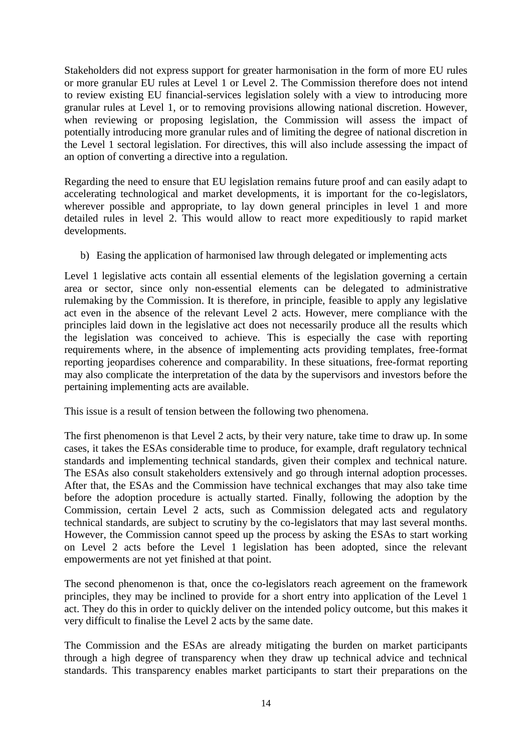Stakeholders did not express support for greater harmonisation in the form of more EU rules or more granular EU rules at Level 1 or Level 2. The Commission therefore does not intend to review existing EU financial-services legislation solely with a view to introducing more granular rules at Level 1, or to removing provisions allowing national discretion. However, when reviewing or proposing legislation, the Commission will assess the impact of potentially introducing more granular rules and of limiting the degree of national discretion in the Level 1 sectoral legislation. For directives, this will also include assessing the impact of an option of converting a directive into a regulation.

Regarding the need to ensure that EU legislation remains future proof and can easily adapt to accelerating technological and market developments, it is important for the co-legislators, wherever possible and appropriate, to lay down general principles in level 1 and more detailed rules in level 2. This would allow to react more expeditiously to rapid market developments.

b) Easing the application of harmonised law through delegated or implementing acts

Level 1 legislative acts contain all essential elements of the legislation governing a certain area or sector, since only non-essential elements can be delegated to administrative rulemaking by the Commission. It is therefore, in principle, feasible to apply any legislative act even in the absence of the relevant Level 2 acts. However, mere compliance with the principles laid down in the legislative act does not necessarily produce all the results which the legislation was conceived to achieve. This is especially the case with reporting requirements where, in the absence of implementing acts providing templates, free-format reporting jeopardises coherence and comparability. In these situations, free-format reporting may also complicate the interpretation of the data by the supervisors and investors before the pertaining implementing acts are available.

This issue is a result of tension between the following two phenomena.

The first phenomenon is that Level 2 acts, by their very nature, take time to draw up. In some cases, it takes the ESAs considerable time to produce, for example, draft regulatory technical standards and implementing technical standards, given their complex and technical nature. The ESAs also consult stakeholders extensively and go through internal adoption processes. After that, the ESAs and the Commission have technical exchanges that may also take time before the adoption procedure is actually started. Finally, following the adoption by the Commission, certain Level 2 acts, such as Commission delegated acts and regulatory technical standards, are subject to scrutiny by the co-legislators that may last several months. However, the Commission cannot speed up the process by asking the ESAs to start working on Level 2 acts before the Level 1 legislation has been adopted, since the relevant empowerments are not yet finished at that point.

The second phenomenon is that, once the co-legislators reach agreement on the framework principles, they may be inclined to provide for a short entry into application of the Level 1 act. They do this in order to quickly deliver on the intended policy outcome, but this makes it very difficult to finalise the Level 2 acts by the same date.

The Commission and the ESAs are already mitigating the burden on market participants through a high degree of transparency when they draw up technical advice and technical standards. This transparency enables market participants to start their preparations on the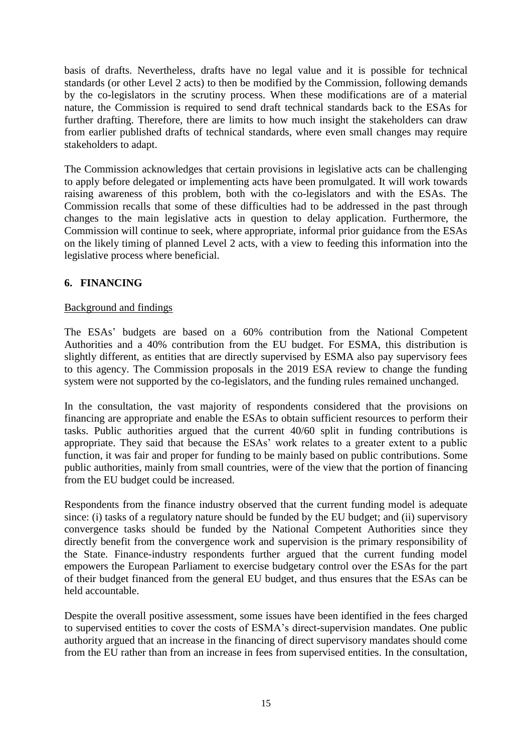basis of drafts. Nevertheless, drafts have no legal value and it is possible for technical standards (or other Level 2 acts) to then be modified by the Commission, following demands by the co-legislators in the scrutiny process. When these modifications are of a material nature, the Commission is required to send draft technical standards back to the ESAs for further drafting. Therefore, there are limits to how much insight the stakeholders can draw from earlier published drafts of technical standards, where even small changes may require stakeholders to adapt.

The Commission acknowledges that certain provisions in legislative acts can be challenging to apply before delegated or implementing acts have been promulgated. It will work towards raising awareness of this problem, both with the co-legislators and with the ESAs. The Commission recalls that some of these difficulties had to be addressed in the past through changes to the main legislative acts in question to delay application. Furthermore, the Commission will continue to seek, where appropriate, informal prior guidance from the ESAs on the likely timing of planned Level 2 acts, with a view to feeding this information into the legislative process where beneficial.

# **6. FINANCING**

## Background and findings

The ESAs' budgets are based on a 60% contribution from the National Competent Authorities and a 40% contribution from the EU budget. For ESMA, this distribution is slightly different, as entities that are directly supervised by ESMA also pay supervisory fees to this agency. The Commission proposals in the 2019 ESA review to change the funding system were not supported by the co-legislators, and the funding rules remained unchanged.

In the consultation, the vast majority of respondents considered that the provisions on financing are appropriate and enable the ESAs to obtain sufficient resources to perform their tasks. Public authorities argued that the current 40/60 split in funding contributions is appropriate. They said that because the ESAs' work relates to a greater extent to a public function, it was fair and proper for funding to be mainly based on public contributions. Some public authorities, mainly from small countries, were of the view that the portion of financing from the EU budget could be increased.

Respondents from the finance industry observed that the current funding model is adequate since: (i) tasks of a regulatory nature should be funded by the EU budget; and (ii) supervisory convergence tasks should be funded by the National Competent Authorities since they directly benefit from the convergence work and supervision is the primary responsibility of the State. Finance-industry respondents further argued that the current funding model empowers the European Parliament to exercise budgetary control over the ESAs for the part of their budget financed from the general EU budget, and thus ensures that the ESAs can be held accountable.

Despite the overall positive assessment, some issues have been identified in the fees charged to supervised entities to cover the costs of ESMA's direct-supervision mandates. One public authority argued that an increase in the financing of direct supervisory mandates should come from the EU rather than from an increase in fees from supervised entities. In the consultation,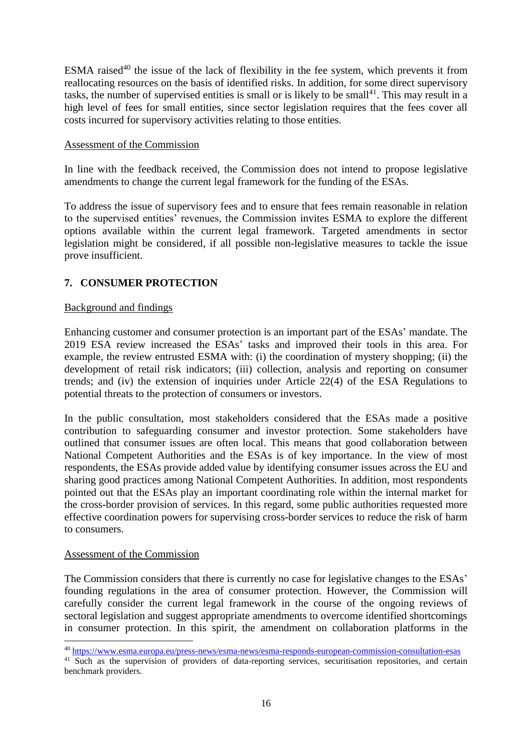ESMA raised<sup>40</sup> the issue of the lack of flexibility in the fee system, which prevents it from reallocating resources on the basis of identified risks. In addition, for some direct supervisory tasks, the number of supervised entities is small or is likely to be small<sup>41</sup>. This may result in a high level of fees for small entities, since sector legislation requires that the fees cover all costs incurred for supervisory activities relating to those entities.

## Assessment of the Commission

In line with the feedback received, the Commission does not intend to propose legislative amendments to change the current legal framework for the funding of the ESAs.

To address the issue of supervisory fees and to ensure that fees remain reasonable in relation to the supervised entities' revenues, the Commission invites ESMA to explore the different options available within the current legal framework. Targeted amendments in sector legislation might be considered, if all possible non-legislative measures to tackle the issue prove insufficient.

# **7. CONSUMER PROTECTION**

## Background and findings

Enhancing customer and consumer protection is an important part of the ESAs' mandate. The 2019 ESA review increased the ESAs' tasks and improved their tools in this area. For example, the review entrusted ESMA with: (i) the coordination of mystery shopping; (ii) the development of retail risk indicators; (iii) collection, analysis and reporting on consumer trends; and (iv) the extension of inquiries under Article 22(4) of the ESA Regulations to potential threats to the protection of consumers or investors.

In the public consultation, most stakeholders considered that the ESAs made a positive contribution to safeguarding consumer and investor protection. Some stakeholders have outlined that consumer issues are often local. This means that good collaboration between National Competent Authorities and the ESAs is of key importance. In the view of most respondents, the ESAs provide added value by identifying consumer issues across the EU and sharing good practices among National Competent Authorities. In addition, most respondents pointed out that the ESAs play an important coordinating role within the internal market for the cross-border provision of services. In this regard, some public authorities requested more effective coordination powers for supervising cross-border services to reduce the risk of harm to consumers.

#### Assessment of the Commission

-

The Commission considers that there is currently no case for legislative changes to the ESAs' founding regulations in the area of consumer protection. However, the Commission will carefully consider the current legal framework in the course of the ongoing reviews of sectoral legislation and suggest appropriate amendments to overcome identified shortcomings in consumer protection. In this spirit, the amendment on collaboration platforms in the

<sup>40</sup> <https://www.esma.europa.eu/press-news/esma-news/esma-responds-european-commission-consultation-esas>

<sup>&</sup>lt;sup>41</sup> Such as the supervision of providers of data-reporting services, securitisation repositories, and certain benchmark providers.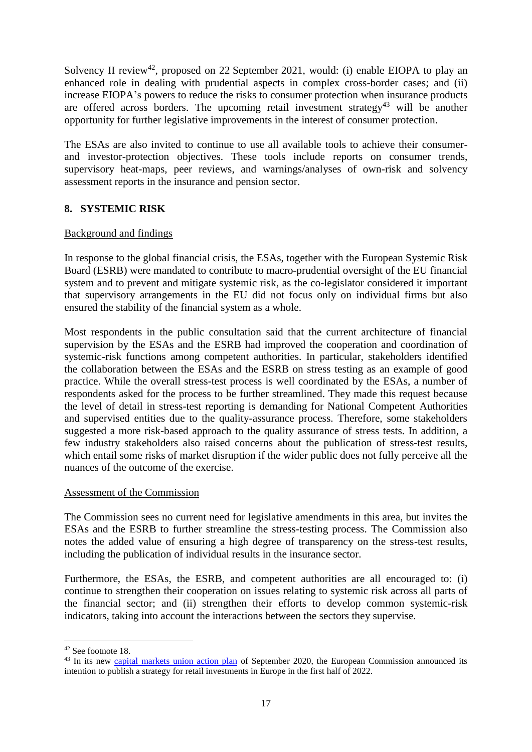Solvency II review<sup>42</sup>, proposed on 22 September 2021, would: (i) enable EIOPA to play an enhanced role in dealing with prudential aspects in complex cross-border cases; and (ii) increase EIOPA's powers to reduce the risks to consumer protection when insurance products are offered across borders. The upcoming retail investment strategy<sup>43</sup> will be another opportunity for further legislative improvements in the interest of consumer protection.

The ESAs are also invited to continue to use all available tools to achieve their consumerand investor-protection objectives. These tools include reports on consumer trends, supervisory heat-maps, peer reviews, and warnings/analyses of own-risk and solvency assessment reports in the insurance and pension sector.

# **8. SYSTEMIC RISK**

# Background and findings

In response to the global financial crisis, the ESAs, together with the European Systemic Risk Board (ESRB) were mandated to contribute to macro-prudential oversight of the EU financial system and to prevent and mitigate systemic risk, as the co-legislator considered it important that supervisory arrangements in the EU did not focus only on individual firms but also ensured the stability of the financial system as a whole.

Most respondents in the public consultation said that the current architecture of financial supervision by the ESAs and the ESRB had improved the cooperation and coordination of systemic-risk functions among competent authorities. In particular, stakeholders identified the collaboration between the ESAs and the ESRB on stress testing as an example of good practice. While the overall stress-test process is well coordinated by the ESAs, a number of respondents asked for the process to be further streamlined. They made this request because the level of detail in stress-test reporting is demanding for National Competent Authorities and supervised entities due to the quality-assurance process. Therefore, some stakeholders suggested a more risk-based approach to the quality assurance of stress tests. In addition, a few industry stakeholders also raised concerns about the publication of stress-test results, which entail some risks of market disruption if the wider public does not fully perceive all the nuances of the outcome of the exercise.

# Assessment of the Commission

The Commission sees no current need for legislative amendments in this area, but invites the ESAs and the ESRB to further streamline the stress-testing process. The Commission also notes the added value of ensuring a high degree of transparency on the stress-test results, including the publication of individual results in the insurance sector.

Furthermore, the ESAs, the ESRB, and competent authorities are all encouraged to: (i) continue to strengthen their cooperation on issues relating to systemic risk across all parts of the financial sector; and (ii) strengthen their efforts to develop common systemic-risk indicators, taking into account the interactions between the sectors they supervise.

<sup>42</sup> See footnote 18.

<sup>&</sup>lt;sup>43</sup> In its new [capital markets union action plan](https://ec.europa.eu/info/business-economy-euro/growth-and-investment/capital-markets-union/capital-markets-union-2020-action-plan_en) of September 2020, the European Commission announced its intention to publish a strategy for retail investments in Europe in the first half of 2022.